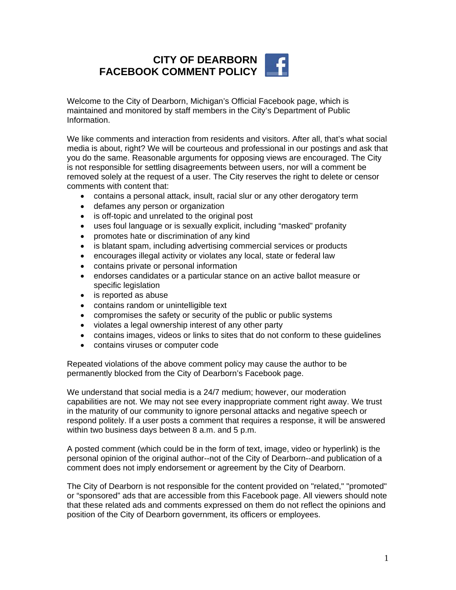## **CITY OF DEARBORN FACEBOOK COMMENT POLICY**

Welcome to the City of Dearborn, Michigan's Official Facebook page, which is maintained and monitored by staff members in the City's Department of Public Information.

We like comments and interaction from residents and visitors. After all, that's what social media is about, right? We will be courteous and professional in our postings and ask that you do the same. Reasonable arguments for opposing views are encouraged. The City is not responsible for settling disagreements between users, nor will a comment be removed solely at the request of a user. The City reserves the right to delete or censor comments with content that:

- contains a personal attack, insult, racial slur or any other derogatory term
- defames any person or organization
- is off-topic and unrelated to the original post
- uses foul language or is sexually explicit, including "masked" profanity
- promotes hate or discrimination of any kind
- is blatant spam, including advertising commercial services or products
- encourages illegal activity or violates any local, state or federal law
- contains private or personal information
- endorses candidates or a particular stance on an active ballot measure or specific legislation
- is reported as abuse
- contains random or unintelligible text
- compromises the safety or security of the public or public systems
- violates a legal ownership interest of any other party
- contains images, videos or links to sites that do not conform to these guidelines
- contains viruses or computer code

Repeated violations of the above comment policy may cause the author to be permanently blocked from the City of Dearborn's Facebook page.

We understand that social media is a 24/7 medium; however, our moderation capabilities are not. We may not see every inappropriate comment right away. We trust in the maturity of our community to ignore personal attacks and negative speech or respond politely. If a user posts a comment that requires a response, it will be answered within two business days between 8 a.m. and 5 p.m.

A posted comment (which could be in the form of text, image, video or hyperlink) is the personal opinion of the original author--not of the City of Dearborn--and publication of a comment does not imply endorsement or agreement by the City of Dearborn.

The City of Dearborn is not responsible for the content provided on "related," "promoted" or "sponsored" ads that are accessible from this Facebook page. All viewers should note that these related ads and comments expressed on them do not reflect the opinions and position of the City of Dearborn government, its officers or employees.